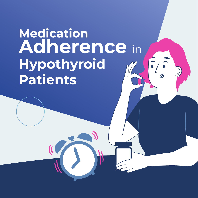# **Medication Adherence** in **Hypothyroid Patients**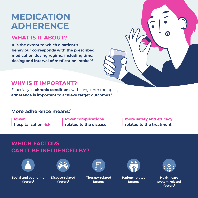## **MEDICATION ADHERENCE**

#### **WHAT IS IT ABOUT?**

**It is the extent to which a patient's behaviour corresponds with the prescribed medication dosing regime, including time, dosing and interval of medication intake.1,2**



#### **WHY IS IT IMPORTANT?**

Especially in **chronic conditions** with long-term therapies, **adherence is important to achieve target outcomes.**1

#### **More adherence means:2**

**lower**

**hospitalization risk**

**lower complications related to the disease** **more safety and efficacy related to the treatment**

#### **WHICH FACTORS CAN IT BE INFLUENCED BY?**



**Social and economic factors1**



**Disease-related factors1**



**Therapy-related factors1**



**Patient-related factors1**



**Health care system-related factors1**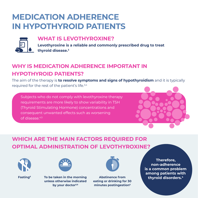### **MEDICATION ADHERENCE IN HYPOTHYROID PATIENTS**



#### **WHAT IS LEVOTHYROXINE?**

**Levothyroxine is a reliable and commonly prescribed drug to treat thyroid disease.3**

#### **WHY IS MEDICATION ADHERENCE IMPORTANT IN HYPOTHYROID PATIENTS?**

The aim of the therapy is **to resolve symptoms and signs of hypothyroidism** and it is typically required for the rest of the patient's life.3,4

Subjects who do not comply with levothyroxine therapy requirements are more likely to show variability in TSH (Thyroid Stimulating Hormone) concentrations and consequent unwanted effects such as worsening of disease.4,5



### **WHICH ARE THE MAIN FACTORS REQUIRED FOR OPTIMAL ADMINISTRATION OF LEVOTHYROXINE?**





**Fasting6 To be taken in the morning unless otherwise indicated by your doctor5,6**



**Abstinence from eating or drinking for 30 minutes postingestion6**

**Therefore, non-adherence is a common problem among patients with thyroid disorders.4**